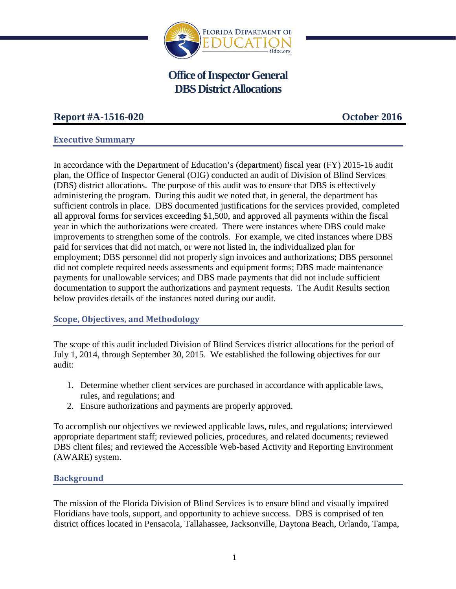

# **Office of Inspector General DBS District Allocations**

# **Report #A-1516-020 October 2016**

# **Executive Summary**

In accordance with the Department of Education's (department) fiscal year (FY) 2015-16 audit plan, the Office of Inspector General (OIG) conducted an audit of Division of Blind Services (DBS) district allocations. The purpose of this audit was to ensure that DBS is effectively administering the program. During this audit we noted that, in general, the department has sufficient controls in place. DBS documented justifications for the services provided, completed all approval forms for services exceeding \$1,500, and approved all payments within the fiscal year in which the authorizations were created. There were instances where DBS could make improvements to strengthen some of the controls. For example, we cited instances where DBS paid for services that did not match, or were not listed in, the individualized plan for employment; DBS personnel did not properly sign invoices and authorizations; DBS personnel did not complete required needs assessments and equipment forms; DBS made maintenance payments for unallowable services; and DBS made payments that did not include sufficient documentation to support the authorizations and payment requests. The Audit Results section below provides details of the instances noted during our audit.

# **Scope, Objectives, and Methodology**

The scope of this audit included Division of Blind Services district allocations for the period of July 1, 2014, through September 30, 2015. We established the following objectives for our audit:

- 1. Determine whether client services are purchased in accordance with applicable laws, rules, and regulations; and
- 2. Ensure authorizations and payments are properly approved.

To accomplish our objectives we reviewed applicable laws, rules, and regulations; interviewed appropriate department staff; reviewed policies, procedures, and related documents; reviewed DBS client files; and reviewed the Accessible Web-based Activity and Reporting Environment (AWARE) system.

# **Background**

The mission of the Florida Division of Blind Services is to ensure blind and visually impaired Floridians have tools, support, and opportunity to achieve success. DBS is comprised of ten district offices located in Pensacola, Tallahassee, Jacksonville, Daytona Beach, Orlando, Tampa,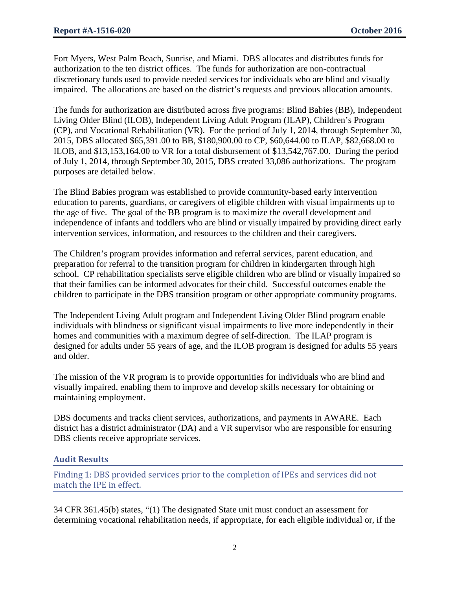Fort Myers, West Palm Beach, Sunrise, and Miami. DBS allocates and distributes funds for authorization to the ten district offices. The funds for authorization are non-contractual discretionary funds used to provide needed services for individuals who are blind and visually impaired. The allocations are based on the district's requests and previous allocation amounts.

The funds for authorization are distributed across five programs: Blind Babies (BB), Independent Living Older Blind (ILOB), Independent Living Adult Program (ILAP), Children's Program (CP), and Vocational Rehabilitation (VR). For the period of July 1, 2014, through September 30, 2015, DBS allocated \$65,391.00 to BB, \$180,900.00 to CP, \$60,644.00 to ILAP, \$82,668.00 to ILOB, and \$13,153,164.00 to VR for a total disbursement of \$13,542,767.00. During the period of July 1, 2014, through September 30, 2015, DBS created 33,086 authorizations. The program purposes are detailed below.

The Blind Babies program was established to provide community-based early intervention education to parents, guardians, or caregivers of eligible children with visual impairments up to the age of five. The goal of the BB program is to maximize the overall development and independence of infants and toddlers who are blind or visually impaired by providing direct early intervention services, information, and resources to the children and their caregivers.

The Children's program provides information and referral services, parent education, and preparation for referral to the transition program for children in kindergarten through high school. CP rehabilitation specialists serve eligible children who are blind or visually impaired so that their families can be informed advocates for their child. Successful outcomes enable the children to participate in the DBS transition program or other appropriate community programs.

The Independent Living Adult program and Independent Living Older Blind program enable individuals with blindness or significant visual impairments to live more independently in their homes and communities with a maximum degree of self-direction. The ILAP program is designed for adults under 55 years of age, and the ILOB program is designed for adults 55 years and older.

The mission of the VR program is to provide opportunities for individuals who are blind and visually impaired, enabling them to improve and develop skills necessary for obtaining or maintaining employment.

DBS documents and tracks client services, authorizations, and payments in AWARE. Each district has a district administrator (DA) and a VR supervisor who are responsible for ensuring DBS clients receive appropriate services.

# **Audit Results**

Finding 1: DBS provided services prior to the completion of IPEs and services did not match the IPE in effect.

34 CFR 361.45(b) states, "(1) The designated State unit must conduct an assessment for determining vocational rehabilitation needs, if appropriate, for each eligible individual or, if the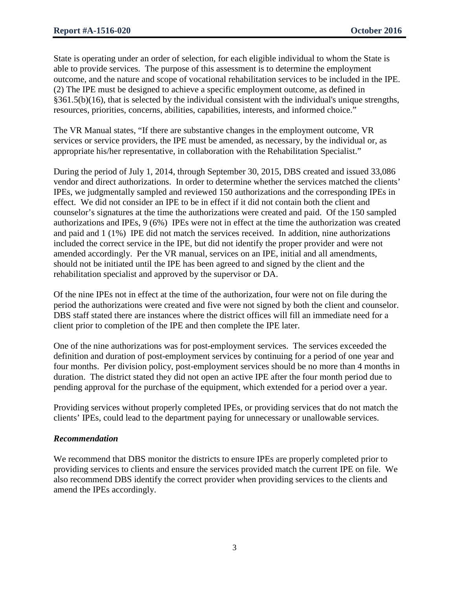State is operating under an order of selection, for each eligible individual to whom the State is able to provide services. The purpose of this assessment is to determine the employment outcome, and the nature and scope of vocational rehabilitation services to be included in the IPE. (2) The IPE must be designed to achieve a specific employment outcome, as defined in §361.5(b)(16), that is selected by the individual consistent with the individual's unique strengths, resources, priorities, concerns, abilities, capabilities, interests, and informed choice."

The VR Manual states, "If there are substantive changes in the employment outcome, VR services or service providers, the IPE must be amended, as necessary, by the individual or, as appropriate his/her representative, in collaboration with the Rehabilitation Specialist."

During the period of July 1, 2014, through September 30, 2015, DBS created and issued 33,086 vendor and direct authorizations. In order to determine whether the services matched the clients' IPEs, we judgmentally sampled and reviewed 150 authorizations and the corresponding IPEs in effect. We did not consider an IPE to be in effect if it did not contain both the client and counselor's signatures at the time the authorizations were created and paid. Of the 150 sampled authorizations and IPEs, 9 (6%) IPEs were not in effect at the time the authorization was created and paid and 1 (1%) IPE did not match the services received. In addition, nine authorizations included the correct service in the IPE, but did not identify the proper provider and were not amended accordingly. Per the VR manual, services on an IPE, initial and all amendments, should not be initiated until the IPE has been agreed to and signed by the client and the rehabilitation specialist and approved by the supervisor or DA.

Of the nine IPEs not in effect at the time of the authorization, four were not on file during the period the authorizations were created and five were not signed by both the client and counselor. DBS staff stated there are instances where the district offices will fill an immediate need for a client prior to completion of the IPE and then complete the IPE later.

One of the nine authorizations was for post-employment services. The services exceeded the definition and duration of post-employment services by continuing for a period of one year and four months. Per division policy, post-employment services should be no more than 4 months in duration. The district stated they did not open an active IPE after the four month period due to pending approval for the purchase of the equipment, which extended for a period over a year.

Providing services without properly completed IPEs, or providing services that do not match the clients' IPEs, could lead to the department paying for unnecessary or unallowable services.

# *Recommendation*

We recommend that DBS monitor the districts to ensure IPEs are properly completed prior to providing services to clients and ensure the services provided match the current IPE on file. We also recommend DBS identify the correct provider when providing services to the clients and amend the IPEs accordingly.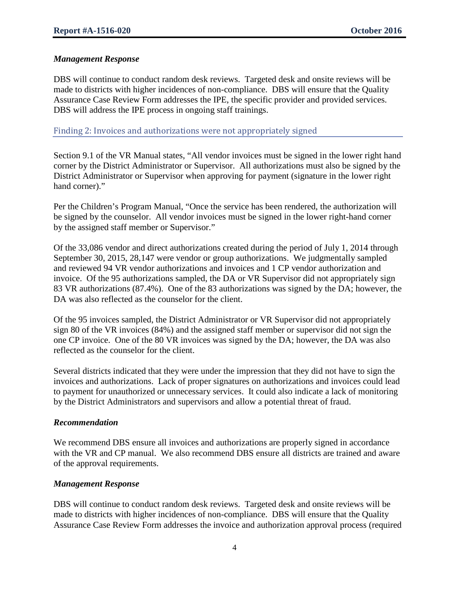### *Management Response*

DBS will continue to conduct random desk reviews. Targeted desk and onsite reviews will be made to districts with higher incidences of non-compliance. DBS will ensure that the Quality Assurance Case Review Form addresses the IPE, the specific provider and provided services. DBS will address the IPE process in ongoing staff trainings.

Finding 2: Invoices and authorizations were not appropriately signed

Section 9.1 of the VR Manual states, "All vendor invoices must be signed in the lower right hand corner by the District Administrator or Supervisor. All authorizations must also be signed by the District Administrator or Supervisor when approving for payment (signature in the lower right hand corner)."

Per the Children's Program Manual, "Once the service has been rendered, the authorization will be signed by the counselor. All vendor invoices must be signed in the lower right-hand corner by the assigned staff member or Supervisor."

Of the 33,086 vendor and direct authorizations created during the period of July 1, 2014 through September 30, 2015, 28,147 were vendor or group authorizations. We judgmentally sampled and reviewed 94 VR vendor authorizations and invoices and 1 CP vendor authorization and invoice. Of the 95 authorizations sampled, the DA or VR Supervisor did not appropriately sign 83 VR authorizations (87.4%). One of the 83 authorizations was signed by the DA; however, the DA was also reflected as the counselor for the client.

Of the 95 invoices sampled, the District Administrator or VR Supervisor did not appropriately sign 80 of the VR invoices (84%) and the assigned staff member or supervisor did not sign the one CP invoice. One of the 80 VR invoices was signed by the DA; however, the DA was also reflected as the counselor for the client.

Several districts indicated that they were under the impression that they did not have to sign the invoices and authorizations. Lack of proper signatures on authorizations and invoices could lead to payment for unauthorized or unnecessary services. It could also indicate a lack of monitoring by the District Administrators and supervisors and allow a potential threat of fraud.

#### *Recommendation*

We recommend DBS ensure all invoices and authorizations are properly signed in accordance with the VR and CP manual. We also recommend DBS ensure all districts are trained and aware of the approval requirements.

#### *Management Response*

DBS will continue to conduct random desk reviews. Targeted desk and onsite reviews will be made to districts with higher incidences of non-compliance. DBS will ensure that the Quality Assurance Case Review Form addresses the invoice and authorization approval process (required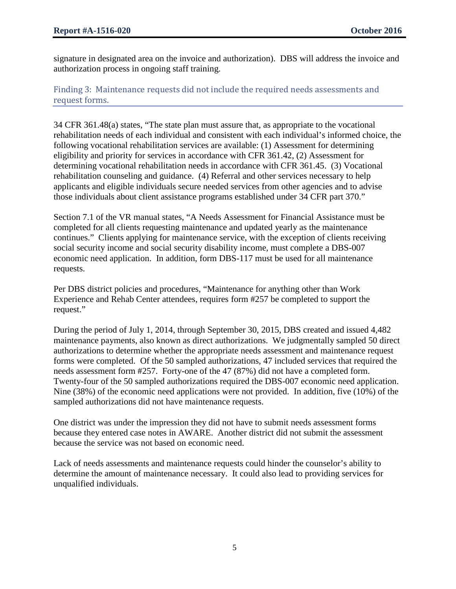signature in designated area on the invoice and authorization). DBS will address the invoice and authorization process in ongoing staff training.

Finding 3: Maintenance requests did not include the required needs assessments and request forms.

34 CFR 361.48(a) states, "The state plan must assure that, as appropriate to the vocational rehabilitation needs of each individual and consistent with each individual's informed choice, the following vocational rehabilitation services are available: (1) Assessment for determining eligibility and priority for services in accordance with CFR 361.42, (2) Assessment for determining vocational rehabilitation needs in accordance with CFR 361.45. (3) Vocational rehabilitation counseling and guidance. (4) Referral and other services necessary to help applicants and eligible individuals secure needed services from other agencies and to advise those individuals about client assistance programs established under 34 CFR part 370."

Section 7.1 of the VR manual states, "A Needs Assessment for Financial Assistance must be completed for all clients requesting maintenance and updated yearly as the maintenance continues." Clients applying for maintenance service, with the exception of clients receiving social security income and social security disability income, must complete a DBS-007 economic need application. In addition, form DBS-117 must be used for all maintenance requests.

Per DBS district policies and procedures, "Maintenance for anything other than Work Experience and Rehab Center attendees, requires form #257 be completed to support the request."

During the period of July 1, 2014, through September 30, 2015, DBS created and issued 4,482 maintenance payments, also known as direct authorizations. We judgmentally sampled 50 direct authorizations to determine whether the appropriate needs assessment and maintenance request forms were completed. Of the 50 sampled authorizations, 47 included services that required the needs assessment form #257. Forty-one of the 47 (87%) did not have a completed form. Twenty-four of the 50 sampled authorizations required the DBS-007 economic need application. Nine (38%) of the economic need applications were not provided. In addition, five (10%) of the sampled authorizations did not have maintenance requests.

One district was under the impression they did not have to submit needs assessment forms because they entered case notes in AWARE. Another district did not submit the assessment because the service was not based on economic need.

Lack of needs assessments and maintenance requests could hinder the counselor's ability to determine the amount of maintenance necessary. It could also lead to providing services for unqualified individuals.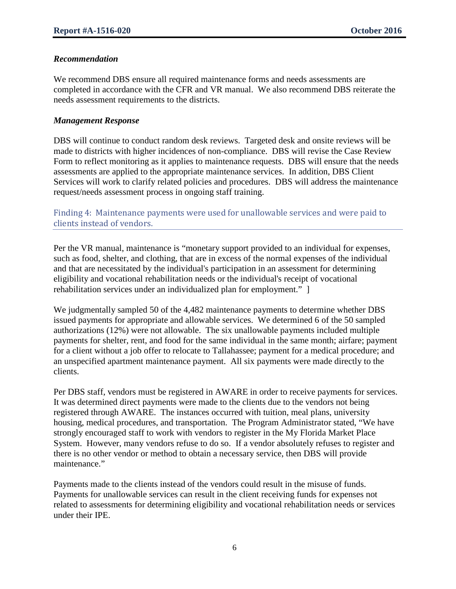#### *Recommendation*

We recommend DBS ensure all required maintenance forms and needs assessments are completed in accordance with the CFR and VR manual. We also recommend DBS reiterate the needs assessment requirements to the districts.

#### *Management Response*

DBS will continue to conduct random desk reviews. Targeted desk and onsite reviews will be made to districts with higher incidences of non-compliance. DBS will revise the Case Review Form to reflect monitoring as it applies to maintenance requests. DBS will ensure that the needs assessments are applied to the appropriate maintenance services. In addition, DBS Client Services will work to clarify related policies and procedures. DBS will address the maintenance request/needs assessment process in ongoing staff training.

Finding 4: Maintenance payments were used for unallowable services and were paid to clients instead of vendors.

Per the VR manual, maintenance is "monetary support provided to an individual for expenses, such as food, shelter, and clothing, that are in excess of the normal expenses of the individual and that are necessitated by the individual's participation in an assessment for determining eligibility and vocational rehabilitation needs or the individual's receipt of vocational rehabilitation services under an individualized plan for employment." ]

We judgmentally sampled 50 of the 4,482 maintenance payments to determine whether DBS issued payments for appropriate and allowable services. We determined 6 of the 50 sampled authorizations (12%) were not allowable. The six unallowable payments included multiple payments for shelter, rent, and food for the same individual in the same month; airfare; payment for a client without a job offer to relocate to Tallahassee; payment for a medical procedure; and an unspecified apartment maintenance payment. All six payments were made directly to the clients.

Per DBS staff, vendors must be registered in AWARE in order to receive payments for services. It was determined direct payments were made to the clients due to the vendors not being registered through AWARE. The instances occurred with tuition, meal plans, university housing, medical procedures, and transportation. The Program Administrator stated, "We have strongly encouraged staff to work with vendors to register in the My Florida Market Place System. However, many vendors refuse to do so. If a vendor absolutely refuses to register and there is no other vendor or method to obtain a necessary service, then DBS will provide maintenance."

Payments made to the clients instead of the vendors could result in the misuse of funds. Payments for unallowable services can result in the client receiving funds for expenses not related to assessments for determining eligibility and vocational rehabilitation needs or services under their IPE.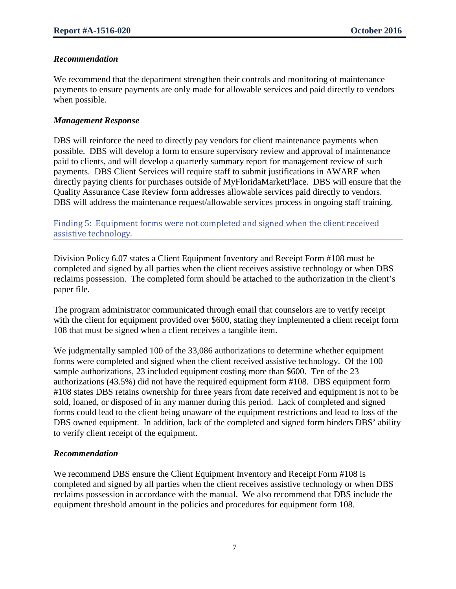### *Recommendation*

We recommend that the department strengthen their controls and monitoring of maintenance payments to ensure payments are only made for allowable services and paid directly to vendors when possible.

#### *Management Response*

DBS will reinforce the need to directly pay vendors for client maintenance payments when possible. DBS will develop a form to ensure supervisory review and approval of maintenance paid to clients, and will develop a quarterly summary report for management review of such payments. DBS Client Services will require staff to submit justifications in AWARE when directly paying clients for purchases outside of MyFloridaMarketPlace. DBS will ensure that the Quality Assurance Case Review form addresses allowable services paid directly to vendors. DBS will address the maintenance request/allowable services process in ongoing staff training.

Finding 5: Equipment forms were not completed and signed when the client received assistive technology.

Division Policy 6.07 states a Client Equipment Inventory and Receipt Form #108 must be completed and signed by all parties when the client receives assistive technology or when DBS reclaims possession. The completed form should be attached to the authorization in the client's paper file.

The program administrator communicated through email that counselors are to verify receipt with the client for equipment provided over \$600, stating they implemented a client receipt form 108 that must be signed when a client receives a tangible item.

We judgmentally sampled 100 of the 33,086 authorizations to determine whether equipment forms were completed and signed when the client received assistive technology. Of the 100 sample authorizations, 23 included equipment costing more than \$600. Ten of the 23 authorizations (43.5%) did not have the required equipment form #108. DBS equipment form #108 states DBS retains ownership for three years from date received and equipment is not to be sold, loaned, or disposed of in any manner during this period. Lack of completed and signed forms could lead to the client being unaware of the equipment restrictions and lead to loss of the DBS owned equipment. In addition, lack of the completed and signed form hinders DBS' ability to verify client receipt of the equipment.

#### *Recommendation*

We recommend DBS ensure the Client Equipment Inventory and Receipt Form #108 is completed and signed by all parties when the client receives assistive technology or when DBS reclaims possession in accordance with the manual. We also recommend that DBS include the equipment threshold amount in the policies and procedures for equipment form 108.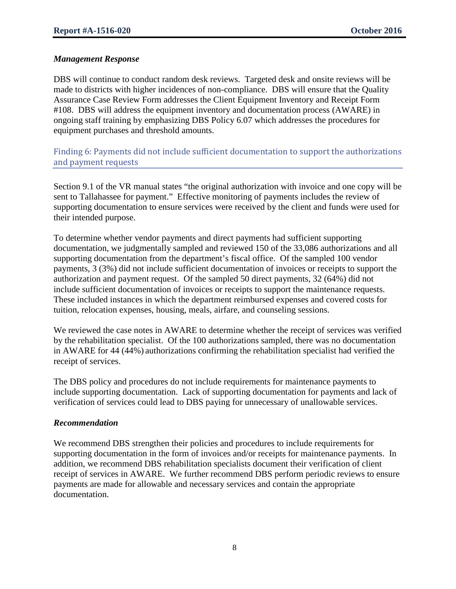# *Management Response*

DBS will continue to conduct random desk reviews. Targeted desk and onsite reviews will be made to districts with higher incidences of non-compliance. DBS will ensure that the Quality Assurance Case Review Form addresses the Client Equipment Inventory and Receipt Form #108. DBS will address the equipment inventory and documentation process (AWARE) in ongoing staff training by emphasizing DBS Policy 6.07 which addresses the procedures for equipment purchases and threshold amounts.

Finding 6: Payments did not include sufficient documentation to support the authorizations and payment requests

Section 9.1 of the VR manual states "the original authorization with invoice and one copy will be sent to Tallahassee for payment." Effective monitoring of payments includes the review of supporting documentation to ensure services were received by the client and funds were used for their intended purpose.

To determine whether vendor payments and direct payments had sufficient supporting documentation, we judgmentally sampled and reviewed 150 of the 33,086 authorizations and all supporting documentation from the department's fiscal office. Of the sampled 100 vendor payments, 3 (3%) did not include sufficient documentation of invoices or receipts to support the authorization and payment request. Of the sampled 50 direct payments, 32 (64%) did not include sufficient documentation of invoices or receipts to support the maintenance requests. These included instances in which the department reimbursed expenses and covered costs for tuition, relocation expenses, housing, meals, airfare, and counseling sessions.

We reviewed the case notes in AWARE to determine whether the receipt of services was verified by the rehabilitation specialist. Of the 100 authorizations sampled, there was no documentation in AWARE for 44 (44%) authorizations confirming the rehabilitation specialist had verified the receipt of services.

The DBS policy and procedures do not include requirements for maintenance payments to include supporting documentation. Lack of supporting documentation for payments and lack of verification of services could lead to DBS paying for unnecessary of unallowable services.

# *Recommendation*

We recommend DBS strengthen their policies and procedures to include requirements for supporting documentation in the form of invoices and/or receipts for maintenance payments. In addition, we recommend DBS rehabilitation specialists document their verification of client receipt of services in AWARE. We further recommend DBS perform periodic reviews to ensure payments are made for allowable and necessary services and contain the appropriate documentation.